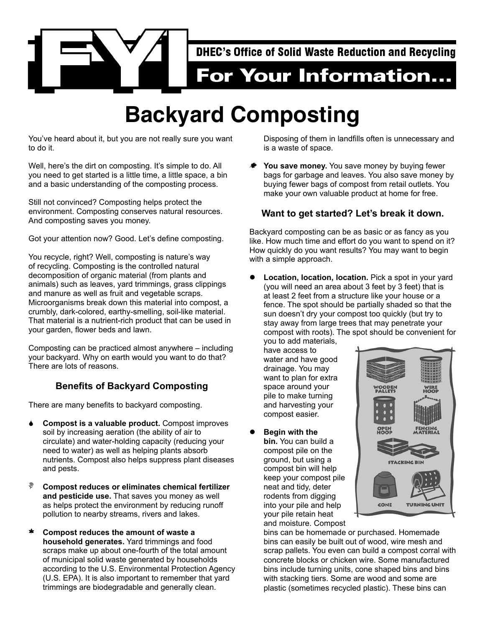

## **Backyard Composting**

You've heard about it, but you are not really sure you want to do it.

Well, here's the dirt on composting. It's simple to do. All you need to get started is a little time, a little space, a bin and a basic understanding of the composting process.

Still not convinced? Composting helps protect the environment. Composting conserves natural resources. And composting saves you money.

Got your attention now? Good. Let's define composting.

You recycle, right? Well, composting is nature's way of recycling. Composting is the controlled natural decomposition of organic material (from plants and animals) such as leaves, yard trimmings, grass clippings and manure as well as fruit and vegetable scraps. Microorganisms break down this material into compost, a crumbly, dark-colored, earthy-smelling, soil-like material. That material is a nutrient-rich product that can be used in your garden, flower beds and lawn.

Composting can be practiced almost anywhere – including your backyard. Why on earth would you want to do that? There are lots of reasons.

## **Benefits of Backyard Composting**

There are many benefits to backyard composting.

- **↓ Compost is a valuable product.** Compost improves soil by increasing aeration (the ability of air to circulate) and water-holding capacity (reducing your need to water) as well as helping plants absorb nutrients. Compost also helps suppress plant diseases and pests.
- ; **Compost reduces or eliminates chemical fertilizer and pesticide use.** That saves you money as well as helps protect the environment by reducing runoff pollution to nearby streams, rivers and lakes.
- \* Compost reduces the amount of waste a **household generates.** Yard trimmings and food scraps make up about one-fourth of the total amount of municipal solid waste generated by households according to the U.S. Environmental Protection Agency (U.S. EPA). It is also important to remember that yard trimmings are biodegradable and generally clean.

Disposing of them in landfills often is unnecessary and is a waste of space.

You save money. You save money by buying fewer bags for garbage and leaves. You also save money by buying fewer bags of compost from retail outlets. You make your own valuable product at home for free.

## **Want to get started? Let's break it down.**

Backyard composting can be as basic or as fancy as you like. How much time and effort do you want to spend on it? How quickly do you want results? You may want to begin with a simple approach.

Location, location, location. Pick a spot in your yard (you will need an area about 3 feet by 3 feet) that is at least 2 feet from a structure like your house or a fence. The spot should be partially shaded so that the sun doesn't dry your compost too quickly (but try to stay away from large trees that may penetrate your compost with roots). The spot should be convenient for

you to add materials, have access to water and have good drainage. You may want to plan for extra space around your pile to make turning and harvesting your compost easier.

**Begin with the bin.** You can build a compost pile on the ground, but using a compost bin will help keep your compost pile neat and tidy, deter rodents from digging into your pile and help your pile retain heat and moisture. Compost



bins can be homemade or purchased. Homemade bins can easily be built out of wood, wire mesh and scrap pallets. You even can build a compost corral with concrete blocks or chicken wire. Some manufactured bins include turning units, cone shaped bins and bins with stacking tiers. Some are wood and some are plastic (sometimes recycled plastic). These bins can